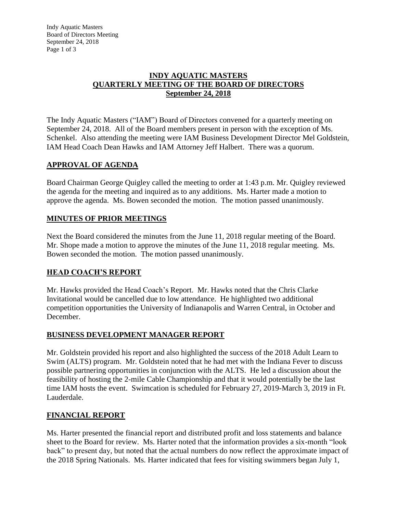### **INDY AQUATIC MASTERS QUARTERLY MEETING OF THE BOARD OF DIRECTORS September 24, 2018**

The Indy Aquatic Masters ("IAM") Board of Directors convened for a quarterly meeting on September 24, 2018. All of the Board members present in person with the exception of Ms. Schenkel. Also attending the meeting were IAM Business Development Director Mel Goldstein, IAM Head Coach Dean Hawks and IAM Attorney Jeff Halbert. There was a quorum.

## **APPROVAL OF AGENDA**

Board Chairman George Quigley called the meeting to order at 1:43 p.m. Mr. Quigley reviewed the agenda for the meeting and inquired as to any additions. Ms. Harter made a motion to approve the agenda. Ms. Bowen seconded the motion. The motion passed unanimously.

## **MINUTES OF PRIOR MEETINGS**

Next the Board considered the minutes from the June 11, 2018 regular meeting of the Board. Mr. Shope made a motion to approve the minutes of the June 11, 2018 regular meeting. Ms. Bowen seconded the motion. The motion passed unanimously.

# **HEAD COACH'S REPORT**

Mr. Hawks provided the Head Coach's Report. Mr. Hawks noted that the Chris Clarke Invitational would be cancelled due to low attendance. He highlighted two additional competition opportunities the University of Indianapolis and Warren Central, in October and December.

## **BUSINESS DEVELOPMENT MANAGER REPORT**

Mr. Goldstein provided his report and also highlighted the success of the 2018 Adult Learn to Swim (ALTS) program. Mr. Goldstein noted that he had met with the Indiana Fever to discuss possible partnering opportunities in conjunction with the ALTS. He led a discussion about the feasibility of hosting the 2-mile Cable Championship and that it would potentially be the last time IAM hosts the event. Swimcation is scheduled for February 27, 2019-March 3, 2019 in Ft. Lauderdale.

## **FINANCIAL REPORT**

Ms. Harter presented the financial report and distributed profit and loss statements and balance sheet to the Board for review. Ms. Harter noted that the information provides a six-month "look back" to present day, but noted that the actual numbers do now reflect the approximate impact of the 2018 Spring Nationals. Ms. Harter indicated that fees for visiting swimmers began July 1,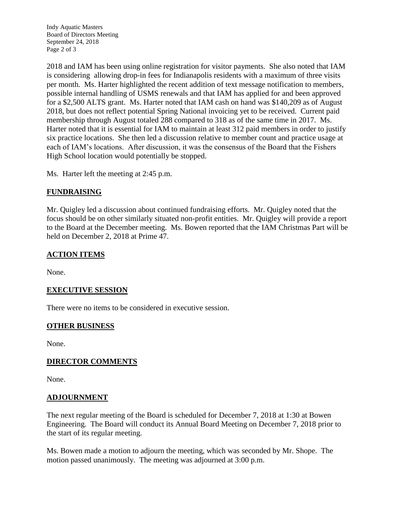Indy Aquatic Masters Board of Directors Meeting September 24, 2018 Page 2 of 3

2018 and IAM has been using online registration for visitor payments. She also noted that IAM is considering allowing drop-in fees for Indianapolis residents with a maximum of three visits per month. Ms. Harter highlighted the recent addition of text message notification to members, possible internal handling of USMS renewals and that IAM has applied for and been approved for a \$2,500 ALTS grant. Ms. Harter noted that IAM cash on hand was \$140,209 as of August 2018, but does not reflect potential Spring National invoicing yet to be received. Current paid membership through August totaled 288 compared to 318 as of the same time in 2017. Ms. Harter noted that it is essential for IAM to maintain at least 312 paid members in order to justify six practice locations. She then led a discussion relative to member count and practice usage at each of IAM's locations. After discussion, it was the consensus of the Board that the Fishers High School location would potentially be stopped.

Ms. Harter left the meeting at 2:45 p.m.

## **FUNDRAISING**

Mr. Quigley led a discussion about continued fundraising efforts. Mr. Quigley noted that the focus should be on other similarly situated non-profit entities. Mr. Quigley will provide a report to the Board at the December meeting. Ms. Bowen reported that the IAM Christmas Part will be held on December 2, 2018 at Prime 47.

## **ACTION ITEMS**

None.

## **EXECUTIVE SESSION**

There were no items to be considered in executive session.

### **OTHER BUSINESS**

None.

### **DIRECTOR COMMENTS**

None.

### **ADJOURNMENT**

The next regular meeting of the Board is scheduled for December 7, 2018 at 1:30 at Bowen Engineering. The Board will conduct its Annual Board Meeting on December 7, 2018 prior to the start of its regular meeting.

Ms. Bowen made a motion to adjourn the meeting, which was seconded by Mr. Shope. The motion passed unanimously. The meeting was adjourned at 3:00 p.m.